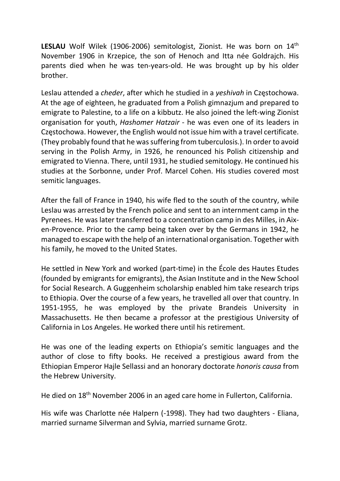LESLAU Wolf Wilek (1906-2006) semitologist, Zionist. He was born on 14<sup>th</sup> November 1906 in Krzepice, the son of Henoch and Itta née Goldrajch. His parents died when he was ten-years-old. He was brought up by his older brother.

Leslau attended a cheder, after which he studied in a yeshivah in Częstochowa. At the age of eighteen, he graduated from a Polish gimnazjum and prepared to emigrate to Palestine, to a life on a kibbutz. He also joined the left-wing Zionist organisation for youth, Hashomer Hatzair - he was even one of its leaders in Częstochowa. However, the English would not issue him with a travel certificate. (They probably found that he was suffering from tuberculosis.). In order to avoid serving in the Polish Army, in 1926, he renounced his Polish citizenship and emigrated to Vienna. There, until 1931, he studied semitology. He continued his studies at the Sorbonne, under Prof. Marcel Cohen. His studies covered most semitic languages.

After the fall of France in 1940, his wife fled to the south of the country, while Leslau was arrested by the French police and sent to an internment camp in the Pyrenees. He was later transferred to a concentration camp in des Milles, in Aixen-Provence. Prior to the camp being taken over by the Germans in 1942, he managed to escape with the help of an international organisation. Together with his family, he moved to the United States.

He settled in New York and worked (part-time) in the École des Hautes Etudes (founded by emigrants for emigrants), the Asian Institute and in the New School for Social Research. A Guggenheim scholarship enabled him take research trips to Ethiopia. Over the course of a few years, he travelled all over that country. In 1951-1955, he was employed by the private Brandeis University in Massachusetts. He then became a professor at the prestigious University of California in Los Angeles. He worked there until his retirement.

He was one of the leading experts on Ethiopia's semitic languages and the author of close to fifty books. He received a prestigious award from the Ethiopian Emperor Hajle Sellassi and an honorary doctorate honoris causa from the Hebrew University.

He died on 18th November 2006 in an aged care home in Fullerton, California.

His wife was Charlotte née Halpern (-1998). They had two daughters - Eliana, married surname Silverman and Sylvia, married surname Grotz.